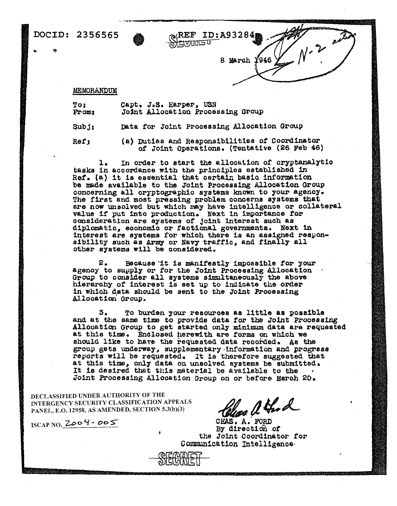# DOCID: 2356565

 $\infty$ (REF ID:A93284 **ALAMMALE L** 

8 March 1946

 $N - 20$ 

### MEMORANDUM

To<sub>2</sub> From:

Capt. J.S. Harper, USN Joint Allocation Processing Group

Data for Joint Processing Allocation Group  $Sub_3$ :

(a) Duties and Responsibilities of Coordinator Ref<sub>?</sub> of Joint Operations. (Tentative (26 Feb 46)

In order to start the allocation of cryptanalytic ı. tasks in accordance with the principles established in Ref. (a) it is essential that certain basic information be made available to the Joint Processing Allocation Group concerning all cryptographic systems known to your agency. The first and most pressing problem concerns systems that are now unsolved but which may have intelligence or collateral value if put into production. Next in importance for consideration are systems of joint interest such as diplomatic, economic or factional governments. Next in interest are systems for which there is an assigned responsibility such as Army or Navy traffic, and finally all other systems will be considered.

2. Because it is manifestly impossible for your agency to supply or for the Joint Processing Allocation Group to consider all systems simultaneously the above hierarchy of interest is set up to indicate the order in which data should be sent to the Joint Processing Allocation Group.

To burden your resources as little as possible з. and at the same time to provide data for the Joint Processing Allocation Group to get started only minimum data are requested at this time. Enclosed herewith are forms on which we should like to have the requested data recorded. As the group gets underway, supplementary information and progress reports will be requested. It is therefore suggested that at this time, only data on unsolved systems be submitted. It is desired that this material be available to the Joint Processing Allocation Group on or before March 20.

DECLASSIFIED UNDER AUTHORITY OF THE INTERGENCY SECURITY CLASSIFICATION APPEALS PANEL, E.O. 12958, AS AMENDED, SECTION 5.3(b)(3)

 $ISCAPNO.$  2004 - 005

Clear a thod

CHAS. A. FORD By direction of the Joint Coordinator for Communication Intelligence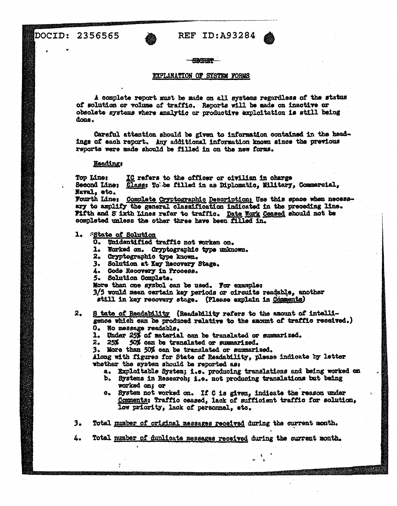# REF ID:A93284

#### - HACTRIPP

## EXPLANATION OF SYSTEM FORMS

A complete report must be made on all systems regardless of the status of solution or volume of traffic. Reports will be made on inactive or obsolete systems where analytic or productive exploitation is still being dona.

Careful attention should be given to information contained in the headings of each report. Any additional information known since the previous reports were made should be filled in on the new forms.

## **Heading:**

IC refers to the officer or civilian in charge Top Kinas Second Line: Class: To be filled in as Diplomatic, Military, Commercial, Naval, etc.

Fourth Line: Complete Cryptographic Description: Use this space when necessary to amplify the general classification indicated in the preceding line. Fifth and S ixth Lines refer to traffic. Date Work Ceased should not be completed unless the other three have been filled in.

1. State of Solution

- O. Unidentified traffic not worken on.
- 1. Worked on. Cryptographic type unknown.
- 2. Gryptographic type known.
- 3. Solution at Key Recovery Stage.
- 4. Code Recovery in Process.
- 5. Solution Complete.

More than one symbol can be used. For example:

3/5 would mean cartain key periods or circuits readable, another still in key recovery stage. (Please explain in Comments)

 $2<sub>o</sub>$ 8 tate of Readability (Readability refers to the amount of intelligence which can be produced relative to the smount of traffic received.)

- O. No message readable.
- 1. Under 25% of material can be translated or summarized.

 $2.25%$ 50% can be translated or summarized.

3. More than 50% can be translated or summarized.

Along with figures for State of Readability, please indicate by letter whether the system should be reported as:

- a. Exploitable System; i.e. producing translations and being worked on
- b. Systems in Research; i.e. not producing translations but being worked on; or
- c. System not worked on. If C is given, indicate the reason under Comments; Traffic ceased, lack of sufficient traffic for solution, low priority, lack of personnel, etc.
- Total mumber of original messages received during the current month. э.
- 4. Total number of duplicate messages received during the current month.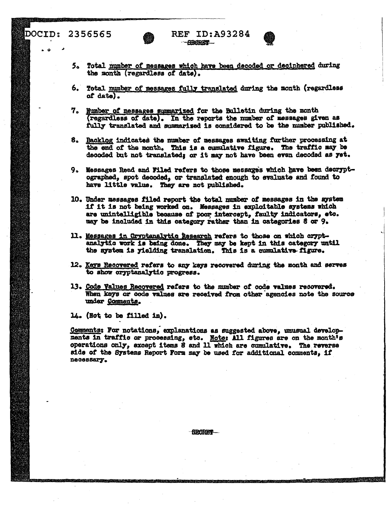# DOCID: 2356565



- 6. Total mumber of messages fully translated during the month (regardless of date).
- 7. Number of messages summarized for the Bulletin during the month (regardless of date). In the reports the number of messages given as fully translated and summarised is considered to be the number published.
- 8. Backlog indicated the number of messages awaiting further processing at the end of the month. This is a cumulative figure. The traffic may be decoded but not translated; or it may not have been even decoded as yet.
- 9. Messages Read and Filed refers to those messages which have been decryptographed, spot decoded, or translated enough to evaluate and found to have little value. They are not published.
- 10. Under messages filed report the total number of messages in the system if it is not being worked on. Messages in exploitable systems which are unintelligible because of poor intercept, faulty indicators, etc. may be included in this category rather than in categories 8 or 9.
- 11. Messages in Cryptanalytic Research refers to those on which cryptanalytic work is being done. They may be kept in this category until the system is yielding translation. This is a cumulative figure.
- 12. Keys Recovered refers to any keys recovered during the month and serves to show oryptanalytic progress.
- 13. Code Values Recovered refers to the number of code values recovered. When keys or code values are received from other agencies note the source under Comments.

14. (Not to be filled in).

Comments: For notations, explanations as suggested above, unusual developments in traffic or processing, etc. Note: All figures are on the month's operations only, except items 8 and 11 which are cumulative. The reverse side of the Systems Report Form may be used for additional comments, if necessary.

**HECKET**